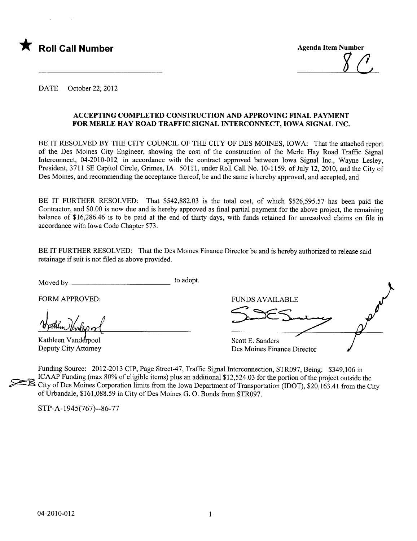

DATE October 22, 2012

#### ACCEPTING COMPLETED CONSTRUCTION AND APPROVING FINAL PAYMENT FOR MERLE HAY ROAD TRAFIC SIGNAL INTERCONNECT, IOWA SIGNAL INC.

BE IT RESOLVED BY THE CITY COUNCIL OF THE CITY OF DES MOINES, IOWA: That the attached report of the Des Moines City Engineer, showing the cost of the construction of the Merle Hay Road Traffc Signal Interconnect, 04-2010-012, in accordance with the contract approved between Iowa Signal Inc., Wayne Lesley, President, 3711 SE Capitol Circle, Grimes, IA 50111, under Roll Call No. 10-1159, of July 12, 2010, and the City of Des Moines, and recommending the acceptance thereof, be and the same is hereby approved, and accepted, and

BE IT FURTHER RESOLVED: That \$542,882.03 is the total cost, of which \$526,595.57 has been paid the Contractor, and \$0.00 is now due and is hereby approved as final partial payment for the above project, the remaining balance of \$16,286.46 is to be paid at the end of thirty days, with funds retained for unresolved claims on file in accordance with Iowa Code Chapter 573.

BE IT FURTHER RESOLVED: That the Des Moines Finance Director be and is hereby authorized to release said retainage if suit is not fied as above provided.

Moved by to adopt.

Vuthin Vendeporl

Kathleen Vanderpool Deputy City Attorney

FORM APPROVED: THE RESERVED OF THE RESERVED OF THE RESERVED OF THE RESERVED OF THE RESERVED OF THE RESERVED OF THE RESERVED OF THE RESERVED OF THE RESERVED OF THE RESERVED OF THE RESERVED OF THE RESERVED OF THE RESERVED OF Scott E. Sanders Des Moines Finance Director

Funding Source: 2012-2013 CIP, Page Street-47, Traffc Signal Interconnection, STR097, Being: \$349,106 in ICAAP Funding (max 80% of eligible items) plus an additional \$12,524.03 for the portion of the project outside the City of Des Moines Corporation limits from the Iowa Department of Transportation (IDOT), \$20,163.41 from the City of Urbandale, \$161,088.59 in City of Des Moines G. O. Bonds from STR097.

STP-A-1945(767)--86-77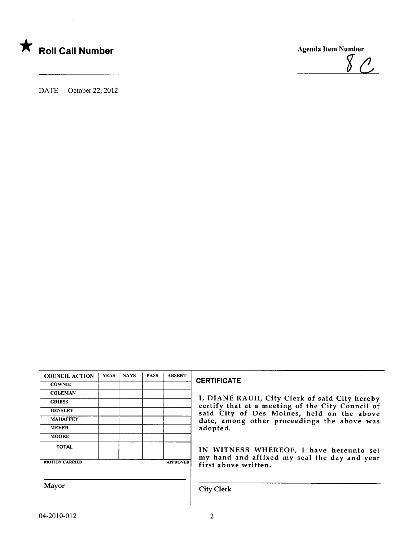



DATE October 22,2012

| <b>COUNCIL ACTION</b> | <b>YEAS</b> | <b>NAYS</b> | <b>PASS</b> | <b>ABSENT</b>   |  |
|-----------------------|-------------|-------------|-------------|-----------------|--|
| <b>COWNIE</b>         |             |             |             |                 |  |
| <b>COLEMAN</b>        |             |             |             |                 |  |
| <b>GRIESS</b>         |             |             |             |                 |  |
| <b>HENSLEY</b>        |             |             |             |                 |  |
| <b>MAHAFFEY</b>       |             |             |             |                 |  |
| <b>MEYER</b>          |             |             |             |                 |  |
| <b>MOORE</b>          |             |             |             |                 |  |
| <b>TOTAL</b>          |             |             |             |                 |  |
| <b>MOTION CARRIED</b> |             |             |             | <b>APPROVED</b> |  |

#### **CERTIFICATE**

I, DIANE RAUH, City Clerk of said City hereby certify that at a meeting of the City Council of said City of Des Moines, held on the above date, among other proceedings the above was adopted.

 $80.$ 

IN WITNESS WHEREOF, I have hereunto set my hand and affixed my seal the day and year first above written.

Mayor City Clerk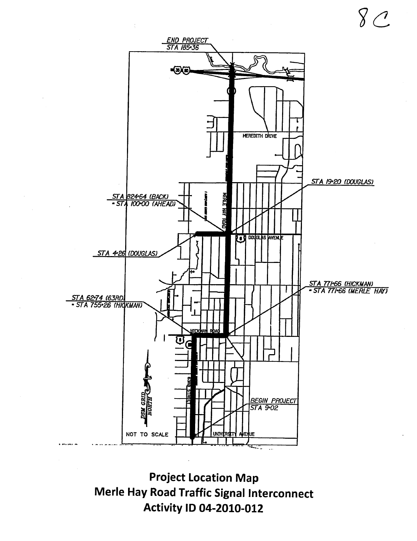

Project Location Map Merle Hay Road Traffic Signal Interconnect Activity 10 04-2010-012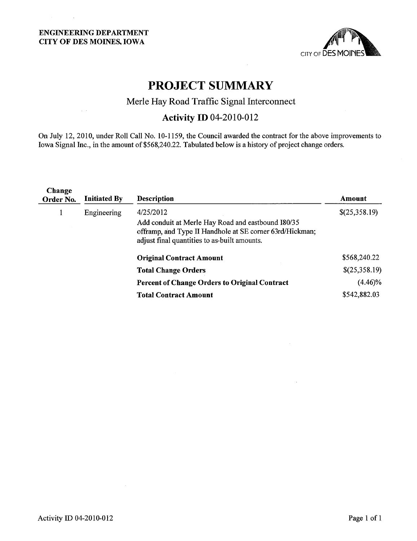$\Delta \sim 10$ 

 $\mathcal{L}(\mathcal{A})$  and  $\mathcal{L}(\mathcal{A})$ 



# PROJECT SUMMARY

### Merle Hay Road Traffic Signal Interconnect

## **Activity ID 04-2010-012**

On July 12,2010, under Roll Call No. 10-1159, the Council awarded the contract for the above improvements to Iowa Signal Inc., in the amount of \$568,240.22. Tabulated below is a history of project change orders.

| Change<br>Order No. | <b>Initiated By</b> | <b>Description</b>                                                                                                                                                          | Amount        |
|---------------------|---------------------|-----------------------------------------------------------------------------------------------------------------------------------------------------------------------------|---------------|
| 1                   | Engineering         | 4/25/2012<br>Add conduit at Merle Hay Road and eastbound I80/35<br>offramp, and Type II Handhole at SE corner 63rd/Hickman;<br>adjust final quantities to as-built amounts. | \$(25,358.19) |
|                     |                     | <b>Original Contract Amount</b>                                                                                                                                             | \$568,240.22  |
|                     |                     | <b>Total Change Orders</b>                                                                                                                                                  | \$(25,358.19) |
|                     |                     | <b>Percent of Change Orders to Original Contract</b>                                                                                                                        | $(4.46)\%$    |
|                     |                     | <b>Total Contract Amount</b>                                                                                                                                                | \$542,882.03  |
|                     |                     |                                                                                                                                                                             |               |

 $\mathcal{A}$ 

 $\mathcal{A}$ 

 $\sim 10^{-1}$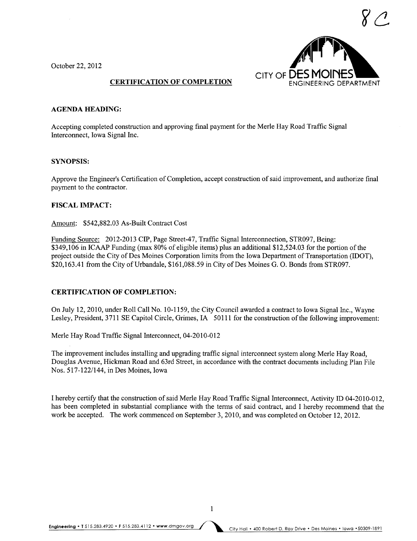October 22,2012



#### CERTIFICATION OF COMPLETION

#### AGENDA HEADING:

Accepting completed construction and approving final payment for the Merle Hay Road Traffic Signal Interconnect, Iowa Signal Inc.

#### SYNOPSIS:

Approve the Engineer's Certification of Completion, accept construction of said improvement, and authorize final payment to the contractor.

#### FISCAL IMPACT:

Amount: \$542,882.03 As-Built Contract Cost

Funding Source: 2012-2013 CIP, Page Street-47, Traffic Signal Interconnection, STR097, Being: \$349,106 in ICAAP Funding (max 80% of eligible items) plus an additional \$12,524.03 for the portion of the project outside the City of Des Moines Corporation limits from the Iowa Department of Transportation (lOOT), \$20,163.41 from the City of Urbandale, \$161,088.59 in City of Des Moines G. O. Bonds from STR097.

#### CERTIFICATION OF COMPLETION:

On July 12,2010, under Roll Call No. 10-1159, the City Council awarded a contract to Iowa Signal Inc., Wayne Lesley, President, 3711 SE Capitol Circle, Grimes, IA 50111 for the construction of the following improvement:

Merle Hay Road Traffic Signal Interconnect, 04-2010-012

The improvement includes installing and upgrading traffc signal interconnect system along Merle Hay Road, Douglas Avenue, Hickman Road and 63rd Street, in accordance with the contract documents including Plan File Nos. 517-122/144, in Des Moines, Iowa

I hereby certify that the construction of said Merle Hay Road Traffic Signal Interconnect, Activity ID 04-2010-012, has been completed in substantial compliance with the terms of said contract, and I hereby recommend that the work be accepted. The work commenced on September 3, 2010, and was completed on October 12, 2012.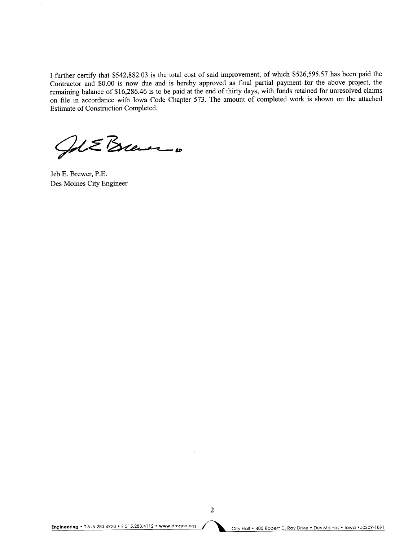I further certify that \$542,882.03 is the total cost of said improvement, of which \$526,595.57 has been paid the Contractor and \$0.00 is now due and is hereby approved as final partial payment for the above project, the remaining balance of \$16,286.46 is to be paid at the end of thirty days, with funds retained for unresolved claims on file in accordance with Iowa Code Chapter 573. The amount of completed work is shown on the attached Estimate of Construction Completed.

Gol E Brever

Jeb E. Brewer, P.E. Des Moines City Engineer